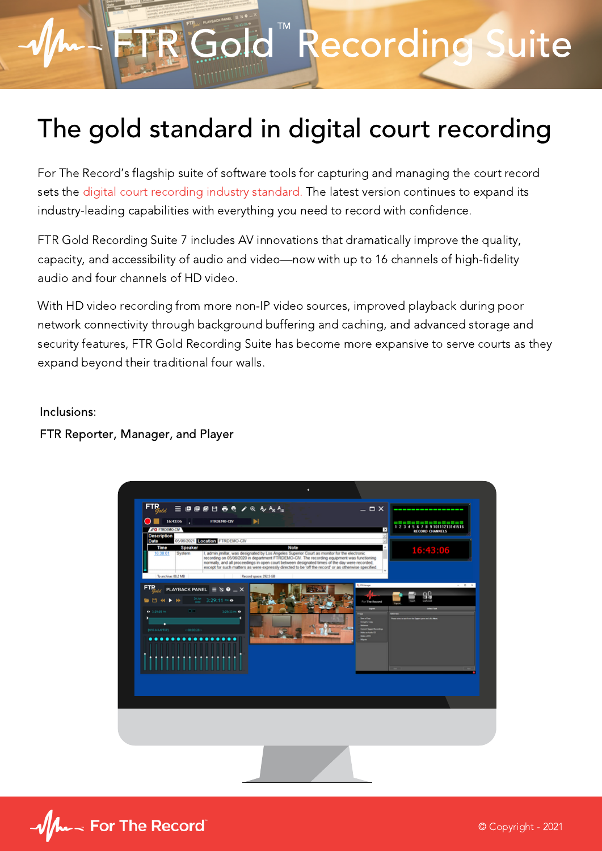# FTR Gold Recording Suite

### The gold standard in digital court recording

For The Record's flagship suite of software tools for capturing and managing the court record sets the digital court recording industry standard. The latest version continues to expand its industry-leading capabilities with everything you need to record with confidence.

FTR Gold Recording Suite 7 includes AV innovations that dramatically improve the quality, capacity, and accessibility of audio and video—now with up to 16 channels of high-fidelity audio and four channels of HD video.

With HD video recording from more non-IP video sources, improved playback during poor network connectivity through background buffering and caching, and advanced storage and security features, FTR Gold Recording Suite has become more expansive to serve courts as they expand beyond their traditional four walls.

Inclusions:

FTR Reporter, Manager, and Player